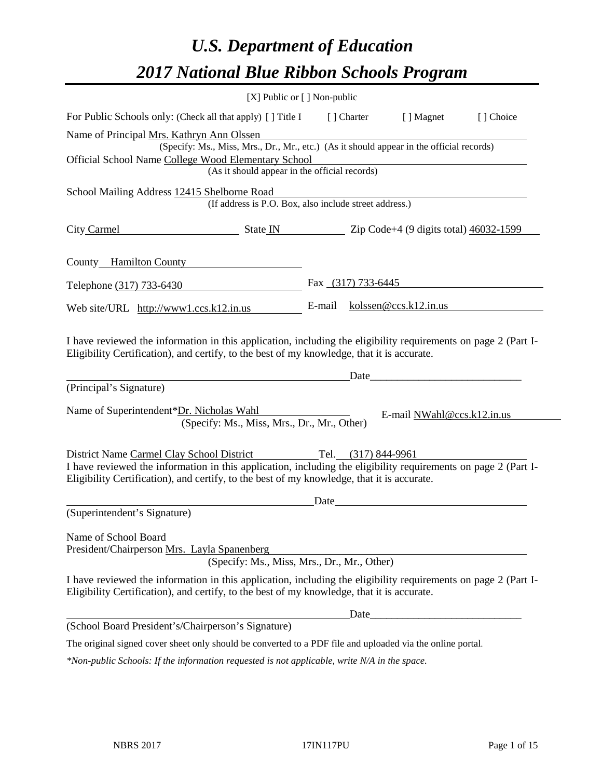# *U.S. Department of Education 2017 National Blue Ribbon Schools Program*

| [X] Public or [] Non-public                                                                                                                                                                                                                                                   |      |             |                                 |           |
|-------------------------------------------------------------------------------------------------------------------------------------------------------------------------------------------------------------------------------------------------------------------------------|------|-------------|---------------------------------|-----------|
| For Public Schools only: (Check all that apply) [ ] Title I                                                                                                                                                                                                                   |      | [ ] Charter | [ ] Magnet                      | [] Choice |
| Name of Principal Mrs. Kathryn Ann Olssen<br>(Specify: Ms., Miss, Mrs., Dr., Mr., etc.) (As it should appear in the official records)<br>Official School Name College Wood Elementary School                                                                                  |      |             |                                 |           |
| (As it should appear in the official records)                                                                                                                                                                                                                                 |      |             |                                 |           |
| School Mailing Address 12415 Shelborne Road<br>(If address is P.O. Box, also include street address.)                                                                                                                                                                         |      |             |                                 |           |
| City Carmel<br>$\frac{1}{2}$ State IN $\frac{1}{2}$ Zip Code+4 (9 digits total) $\frac{46032-1599}{2}$                                                                                                                                                                        |      |             |                                 |           |
| County Hamilton County                                                                                                                                                                                                                                                        |      |             |                                 |           |
| Telephone (317) 733-6430                                                                                                                                                                                                                                                      |      |             | Fax $(317)$ 733-6445            |           |
| Web site/URL $http://www1.cs.k12.in.us$                                                                                                                                                                                                                                       |      |             | E-mail $k$ olssen@ccs.k12.in.us |           |
| I have reviewed the information in this application, including the eligibility requirements on page 2 (Part I-<br>Eligibility Certification), and certify, to the best of my knowledge, that it is accurate.<br>(Principal's Signature)                                       |      | Date        |                                 |           |
| Name of Superintendent*Dr. Nicholas Wahl<br>(Specify: Ms., Miss, Mrs., Dr., Mr., Other)                                                                                                                                                                                       |      |             | E-mail NWahl@ccs.k12.in.us      |           |
| District Name Carmel Clay School District Tel. (317) 844-9961<br>I have reviewed the information in this application, including the eligibility requirements on page 2 (Part I-<br>Eligibility Certification), and certify, to the best of my knowledge, that it is accurate. |      |             |                                 |           |
|                                                                                                                                                                                                                                                                               | Date |             |                                 |           |
| (Superintendent's Signature)                                                                                                                                                                                                                                                  |      |             |                                 |           |
| Name of School Board<br>President/Chairperson Mrs. Layla Spanenberg<br>(Specify: Ms., Miss, Mrs., Dr., Mr., Other)                                                                                                                                                            |      |             |                                 |           |
| I have reviewed the information in this application, including the eligibility requirements on page 2 (Part I-<br>Eligibility Certification), and certify, to the best of my knowledge, that it is accurate.                                                                  |      |             |                                 |           |
|                                                                                                                                                                                                                                                                               |      | Date        |                                 |           |
| (School Board President's/Chairperson's Signature)                                                                                                                                                                                                                            |      |             |                                 |           |
| The original signed cover sheet only should be converted to a PDF file and uploaded via the online portal.                                                                                                                                                                    |      |             |                                 |           |

*\*Non-public Schools: If the information requested is not applicable, write N/A in the space.*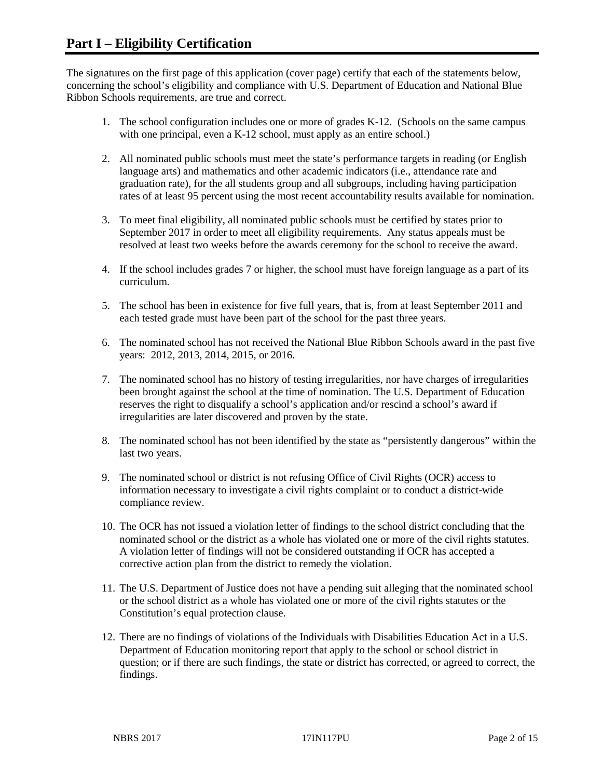The signatures on the first page of this application (cover page) certify that each of the statements below, concerning the school's eligibility and compliance with U.S. Department of Education and National Blue Ribbon Schools requirements, are true and correct.

- 1. The school configuration includes one or more of grades K-12. (Schools on the same campus with one principal, even a K-12 school, must apply as an entire school.)
- 2. All nominated public schools must meet the state's performance targets in reading (or English language arts) and mathematics and other academic indicators (i.e., attendance rate and graduation rate), for the all students group and all subgroups, including having participation rates of at least 95 percent using the most recent accountability results available for nomination.
- 3. To meet final eligibility, all nominated public schools must be certified by states prior to September 2017 in order to meet all eligibility requirements. Any status appeals must be resolved at least two weeks before the awards ceremony for the school to receive the award.
- 4. If the school includes grades 7 or higher, the school must have foreign language as a part of its curriculum.
- 5. The school has been in existence for five full years, that is, from at least September 2011 and each tested grade must have been part of the school for the past three years.
- 6. The nominated school has not received the National Blue Ribbon Schools award in the past five years: 2012, 2013, 2014, 2015, or 2016.
- 7. The nominated school has no history of testing irregularities, nor have charges of irregularities been brought against the school at the time of nomination. The U.S. Department of Education reserves the right to disqualify a school's application and/or rescind a school's award if irregularities are later discovered and proven by the state.
- 8. The nominated school has not been identified by the state as "persistently dangerous" within the last two years.
- 9. The nominated school or district is not refusing Office of Civil Rights (OCR) access to information necessary to investigate a civil rights complaint or to conduct a district-wide compliance review.
- 10. The OCR has not issued a violation letter of findings to the school district concluding that the nominated school or the district as a whole has violated one or more of the civil rights statutes. A violation letter of findings will not be considered outstanding if OCR has accepted a corrective action plan from the district to remedy the violation.
- 11. The U.S. Department of Justice does not have a pending suit alleging that the nominated school or the school district as a whole has violated one or more of the civil rights statutes or the Constitution's equal protection clause.
- 12. There are no findings of violations of the Individuals with Disabilities Education Act in a U.S. Department of Education monitoring report that apply to the school or school district in question; or if there are such findings, the state or district has corrected, or agreed to correct, the findings.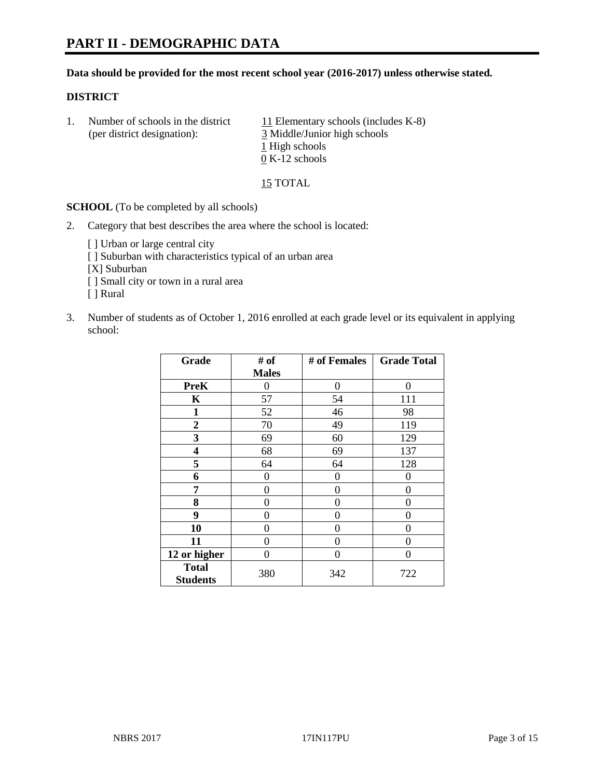#### **Data should be provided for the most recent school year (2016-2017) unless otherwise stated.**

## **DISTRICT**

1. Number of schools in the district  $11$  Elementary schools (includes K-8) (per district designation): 3 Middle/Junior high schools 1 High schools 0 K-12 schools

15 TOTAL

**SCHOOL** (To be completed by all schools)

- 2. Category that best describes the area where the school is located:
	- [] Urban or large central city [ ] Suburban with characteristics typical of an urban area [X] Suburban [ ] Small city or town in a rural area [ ] Rural
- 3. Number of students as of October 1, 2016 enrolled at each grade level or its equivalent in applying school:

| Grade                           | # of         | # of Females | <b>Grade Total</b> |
|---------------------------------|--------------|--------------|--------------------|
|                                 | <b>Males</b> |              |                    |
| <b>PreK</b>                     | 0            | $\theta$     | 0                  |
| K                               | 57           | 54           | 111                |
| 1                               | 52           | 46           | 98                 |
| $\overline{2}$                  | 70           | 49           | 119                |
| 3                               | 69           | 60           | 129                |
| 4                               | 68           | 69           | 137                |
| 5                               | 64           | 64           | 128                |
| 6                               | 0            | 0            | 0                  |
| 7                               | 0            | 0            | 0                  |
| 8                               | 0            | 0            | 0                  |
| 9                               | 0            | 0            | $\theta$           |
| 10                              | $\theta$     | 0            | $\Omega$           |
| 11                              | 0            | 0            | 0                  |
| 12 or higher                    | 0            | 0            | 0                  |
| <b>Total</b><br><b>Students</b> | 380          | 342          | 722                |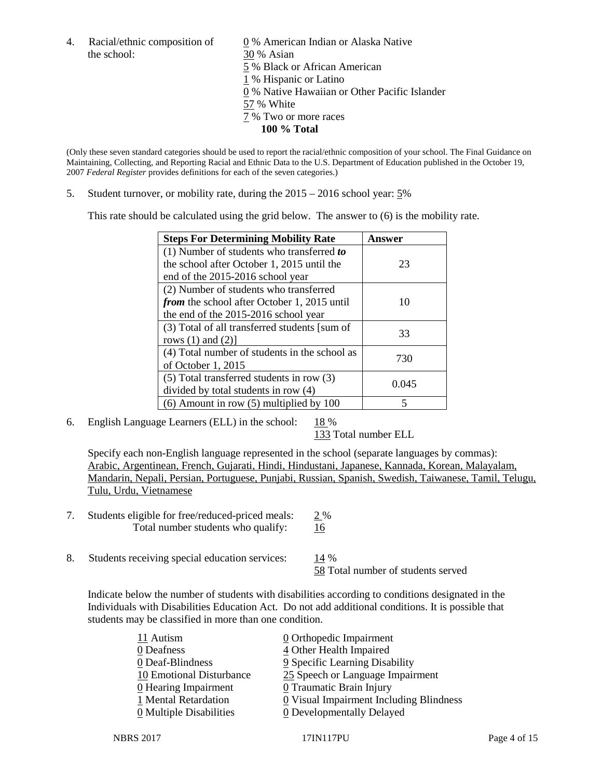the school: 30 % Asian

4. Racial/ethnic composition of  $\qquad 0 \%$  American Indian or Alaska Native 5 % Black or African American 1 % Hispanic or Latino 0 % Native Hawaiian or Other Pacific Islander 57 % White 7 % Two or more races **100 % Total**

(Only these seven standard categories should be used to report the racial/ethnic composition of your school. The Final Guidance on Maintaining, Collecting, and Reporting Racial and Ethnic Data to the U.S. Department of Education published in the October 19, 2007 *Federal Register* provides definitions for each of the seven categories.)

5. Student turnover, or mobility rate, during the 2015 – 2016 school year: 5%

This rate should be calculated using the grid below. The answer to (6) is the mobility rate.

| <b>Steps For Determining Mobility Rate</b>         | Answer |  |
|----------------------------------------------------|--------|--|
| (1) Number of students who transferred to          |        |  |
| the school after October 1, 2015 until the         | 23     |  |
| end of the 2015-2016 school year                   |        |  |
| (2) Number of students who transferred             |        |  |
| <i>from</i> the school after October 1, 2015 until | 10     |  |
| the end of the 2015-2016 school year               |        |  |
| (3) Total of all transferred students [sum of      | 33     |  |
| rows $(1)$ and $(2)$ ]                             |        |  |
| (4) Total number of students in the school as      | 730    |  |
| of October 1, 2015                                 |        |  |
| $(5)$ Total transferred students in row $(3)$      |        |  |
| divided by total students in row (4)               | 0.045  |  |
| $(6)$ Amount in row $(5)$ multiplied by 100        | 5      |  |

6. English Language Learners (ELL) in the school:  $18\%$ 

133 Total number ELL

Specify each non-English language represented in the school (separate languages by commas): Arabic, Argentinean, French, Gujarati, Hindi, Hindustani, Japanese, Kannada, Korean, Malayalam, Mandarin, Nepali, Persian, Portuguese, Punjabi, Russian, Spanish, Swedish, Taiwanese, Tamil, Telugu, Tulu, Urdu, Vietnamese

- 7. Students eligible for free/reduced-priced meals: 2 % Total number students who qualify: 16
- 8. Students receiving special education services: 14 %

58 Total number of students served

Indicate below the number of students with disabilities according to conditions designated in the Individuals with Disabilities Education Act. Do not add additional conditions. It is possible that students may be classified in more than one condition.

| 11 Autism                | $\underline{0}$ Orthopedic Impairment     |
|--------------------------|-------------------------------------------|
| 0 Deafness               | 4 Other Health Impaired                   |
| 0 Deaf-Blindness         | 9 Specific Learning Disability            |
| 10 Emotional Disturbance | 25 Speech or Language Impairment          |
| $0$ Hearing Impairment   | <b>0</b> Traumatic Brain Injury           |
| 1 Mental Retardation     | $Q$ Visual Impairment Including Blindness |
| 0 Multiple Disabilities  | <b>0</b> Developmentally Delayed          |
|                          |                                           |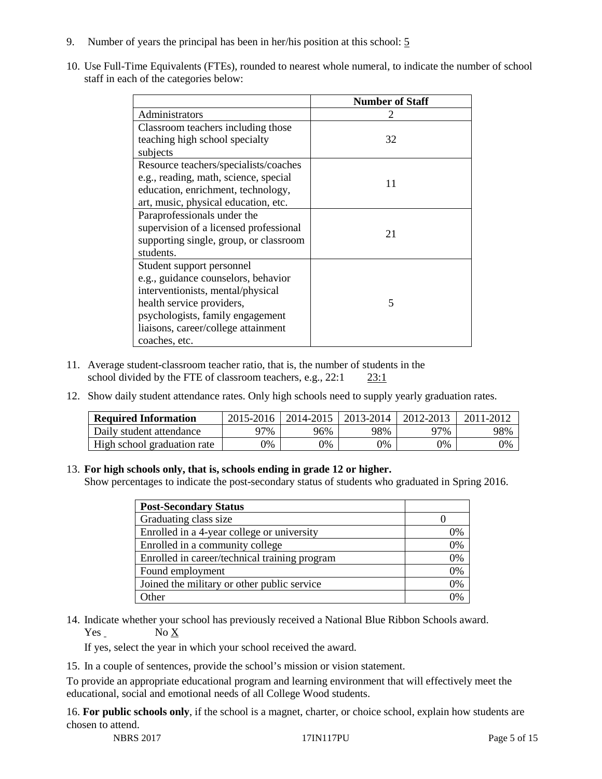- 9. Number of years the principal has been in her/his position at this school: 5
- 10. Use Full-Time Equivalents (FTEs), rounded to nearest whole numeral, to indicate the number of school staff in each of the categories below:

|                                        | <b>Number of Staff</b> |
|----------------------------------------|------------------------|
| Administrators                         |                        |
| Classroom teachers including those     |                        |
| teaching high school specialty         | 32                     |
| subjects                               |                        |
| Resource teachers/specialists/coaches  |                        |
| e.g., reading, math, science, special  | 11                     |
| education, enrichment, technology,     |                        |
| art, music, physical education, etc.   |                        |
| Paraprofessionals under the            |                        |
| supervision of a licensed professional | 21                     |
| supporting single, group, or classroom |                        |
| students.                              |                        |
| Student support personnel              |                        |
| e.g., guidance counselors, behavior    |                        |
| interventionists, mental/physical      |                        |
| health service providers,              | 5                      |
| psychologists, family engagement       |                        |
| liaisons, career/college attainment    |                        |
| coaches, etc.                          |                        |

- 11. Average student-classroom teacher ratio, that is, the number of students in the school divided by the FTE of classroom teachers, e.g., 22:1 23:1
- 12. Show daily student attendance rates. Only high schools need to supply yearly graduation rates.

| <b>Required Information</b> | 2015-2016 | 2014-2015 | 2013-2014 | 2012-2013 |     |
|-----------------------------|-----------|-----------|-----------|-----------|-----|
| Daily student attendance    | า7%       | 96%       | 98%       | ว7%       | 98% |
| High school graduation rate | 0%        | 0%        | 0%        | 9%        | 0%  |

#### 13. **For high schools only, that is, schools ending in grade 12 or higher.**

Show percentages to indicate the post-secondary status of students who graduated in Spring 2016.

| <b>Post-Secondary Status</b>                  |    |
|-----------------------------------------------|----|
| Graduating class size                         |    |
| Enrolled in a 4-year college or university    | 0% |
| Enrolled in a community college               | 0% |
| Enrolled in career/technical training program | 0% |
| Found employment                              | 0% |
| Joined the military or other public service   | 0% |
| )ther                                         |    |

14. Indicate whether your school has previously received a National Blue Ribbon Schools award. Yes No X

If yes, select the year in which your school received the award.

15. In a couple of sentences, provide the school's mission or vision statement.

To provide an appropriate educational program and learning environment that will effectively meet the educational, social and emotional needs of all College Wood students.

16. **For public schools only**, if the school is a magnet, charter, or choice school, explain how students are chosen to attend.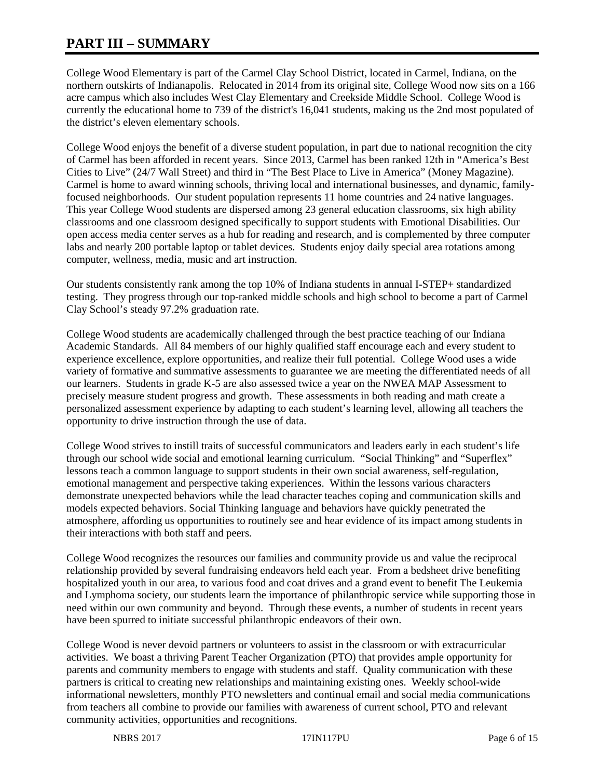# **PART III – SUMMARY**

College Wood Elementary is part of the Carmel Clay School District, located in Carmel, Indiana, on the northern outskirts of Indianapolis. Relocated in 2014 from its original site, College Wood now sits on a 166 acre campus which also includes West Clay Elementary and Creekside Middle School. College Wood is currently the educational home to 739 of the district's 16,041 students, making us the 2nd most populated of the district's eleven elementary schools.

College Wood enjoys the benefit of a diverse student population, in part due to national recognition the city of Carmel has been afforded in recent years. Since 2013, Carmel has been ranked 12th in "America's Best Cities to Live" (24/7 Wall Street) and third in "The Best Place to Live in America" (Money Magazine). Carmel is home to award winning schools, thriving local and international businesses, and dynamic, familyfocused neighborhoods. Our student population represents 11 home countries and 24 native languages. This year College Wood students are dispersed among 23 general education classrooms, six high ability classrooms and one classroom designed specifically to support students with Emotional Disabilities. Our open access media center serves as a hub for reading and research, and is complemented by three computer labs and nearly 200 portable laptop or tablet devices. Students enjoy daily special area rotations among computer, wellness, media, music and art instruction.

Our students consistently rank among the top 10% of Indiana students in annual I-STEP+ standardized testing. They progress through our top-ranked middle schools and high school to become a part of Carmel Clay School's steady 97.2% graduation rate.

College Wood students are academically challenged through the best practice teaching of our Indiana Academic Standards. All 84 members of our highly qualified staff encourage each and every student to experience excellence, explore opportunities, and realize their full potential. College Wood uses a wide variety of formative and summative assessments to guarantee we are meeting the differentiated needs of all our learners. Students in grade K-5 are also assessed twice a year on the NWEA MAP Assessment to precisely measure student progress and growth. These assessments in both reading and math create a personalized assessment experience by adapting to each student's learning level, allowing all teachers the opportunity to drive instruction through the use of data.

College Wood strives to instill traits of successful communicators and leaders early in each student's life through our school wide social and emotional learning curriculum. "Social Thinking" and "Superflex" lessons teach a common language to support students in their own social awareness, self-regulation, emotional management and perspective taking experiences. Within the lessons various characters demonstrate unexpected behaviors while the lead character teaches coping and communication skills and models expected behaviors. Social Thinking language and behaviors have quickly penetrated the atmosphere, affording us opportunities to routinely see and hear evidence of its impact among students in their interactions with both staff and peers.

College Wood recognizes the resources our families and community provide us and value the reciprocal relationship provided by several fundraising endeavors held each year. From a bedsheet drive benefiting hospitalized youth in our area, to various food and coat drives and a grand event to benefit The Leukemia and Lymphoma society, our students learn the importance of philanthropic service while supporting those in need within our own community and beyond. Through these events, a number of students in recent years have been spurred to initiate successful philanthropic endeavors of their own.

College Wood is never devoid partners or volunteers to assist in the classroom or with extracurricular activities. We boast a thriving Parent Teacher Organization (PTO) that provides ample opportunity for parents and community members to engage with students and staff. Quality communication with these partners is critical to creating new relationships and maintaining existing ones. Weekly school-wide informational newsletters, monthly PTO newsletters and continual email and social media communications from teachers all combine to provide our families with awareness of current school, PTO and relevant community activities, opportunities and recognitions.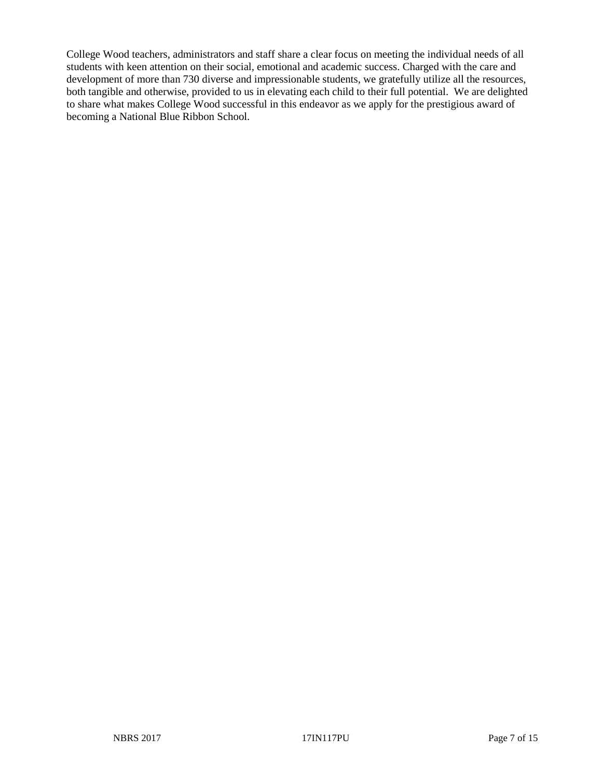College Wood teachers, administrators and staff share a clear focus on meeting the individual needs of all students with keen attention on their social, emotional and academic success. Charged with the care and development of more than 730 diverse and impressionable students, we gratefully utilize all the resources, both tangible and otherwise, provided to us in elevating each child to their full potential. We are delighted to share what makes College Wood successful in this endeavor as we apply for the prestigious award of becoming a National Blue Ribbon School.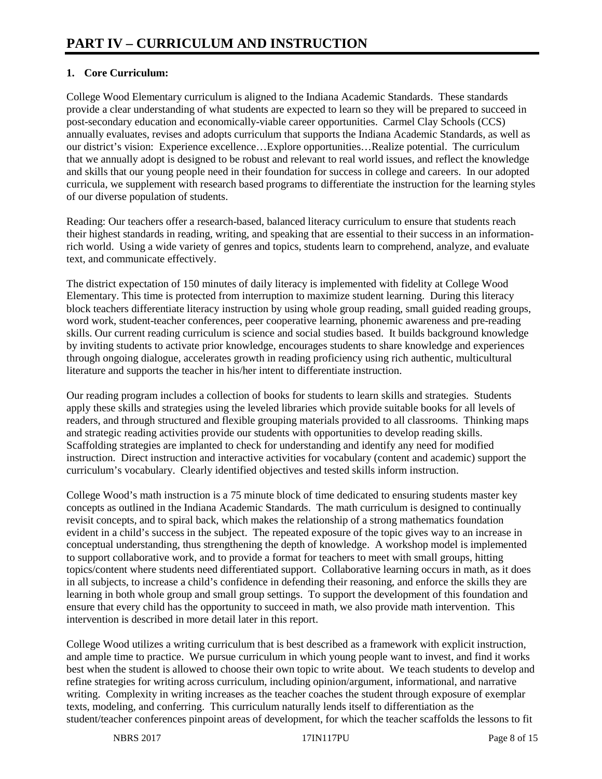# **1. Core Curriculum:**

College Wood Elementary curriculum is aligned to the Indiana Academic Standards. These standards provide a clear understanding of what students are expected to learn so they will be prepared to succeed in post-secondary education and economically-viable career opportunities. Carmel Clay Schools (CCS) annually evaluates, revises and adopts curriculum that supports the Indiana Academic Standards, as well as our district's vision: Experience excellence…Explore opportunities…Realize potential. The curriculum that we annually adopt is designed to be robust and relevant to real world issues, and reflect the knowledge and skills that our young people need in their foundation for success in college and careers. In our adopted curricula, we supplement with research based programs to differentiate the instruction for the learning styles of our diverse population of students.

Reading: Our teachers offer a research-based, balanced literacy curriculum to ensure that students reach their highest standards in reading, writing, and speaking that are essential to their success in an informationrich world. Using a wide variety of genres and topics, students learn to comprehend, analyze, and evaluate text, and communicate effectively.

The district expectation of 150 minutes of daily literacy is implemented with fidelity at College Wood Elementary. This time is protected from interruption to maximize student learning. During this literacy block teachers differentiate literacy instruction by using whole group reading, small guided reading groups, word work, student-teacher conferences, peer cooperative learning, phonemic awareness and pre-reading skills. Our current reading curriculum is science and social studies based. It builds background knowledge by inviting students to activate prior knowledge, encourages students to share knowledge and experiences through ongoing dialogue, accelerates growth in reading proficiency using rich authentic, multicultural literature and supports the teacher in his/her intent to differentiate instruction.

Our reading program includes a collection of books for students to learn skills and strategies. Students apply these skills and strategies using the leveled libraries which provide suitable books for all levels of readers, and through structured and flexible grouping materials provided to all classrooms. Thinking maps and strategic reading activities provide our students with opportunities to develop reading skills. Scaffolding strategies are implanted to check for understanding and identify any need for modified instruction. Direct instruction and interactive activities for vocabulary (content and academic) support the curriculum's vocabulary. Clearly identified objectives and tested skills inform instruction.

College Wood's math instruction is a 75 minute block of time dedicated to ensuring students master key concepts as outlined in the Indiana Academic Standards. The math curriculum is designed to continually revisit concepts, and to spiral back, which makes the relationship of a strong mathematics foundation evident in a child's success in the subject. The repeated exposure of the topic gives way to an increase in conceptual understanding, thus strengthening the depth of knowledge. A workshop model is implemented to support collaborative work, and to provide a format for teachers to meet with small groups, hitting topics/content where students need differentiated support. Collaborative learning occurs in math, as it does in all subjects, to increase a child's confidence in defending their reasoning, and enforce the skills they are learning in both whole group and small group settings. To support the development of this foundation and ensure that every child has the opportunity to succeed in math, we also provide math intervention. This intervention is described in more detail later in this report.

College Wood utilizes a writing curriculum that is best described as a framework with explicit instruction, and ample time to practice. We pursue curriculum in which young people want to invest, and find it works best when the student is allowed to choose their own topic to write about. We teach students to develop and refine strategies for writing across curriculum, including opinion/argument, informational, and narrative writing. Complexity in writing increases as the teacher coaches the student through exposure of exemplar texts, modeling, and conferring. This curriculum naturally lends itself to differentiation as the student/teacher conferences pinpoint areas of development, for which the teacher scaffolds the lessons to fit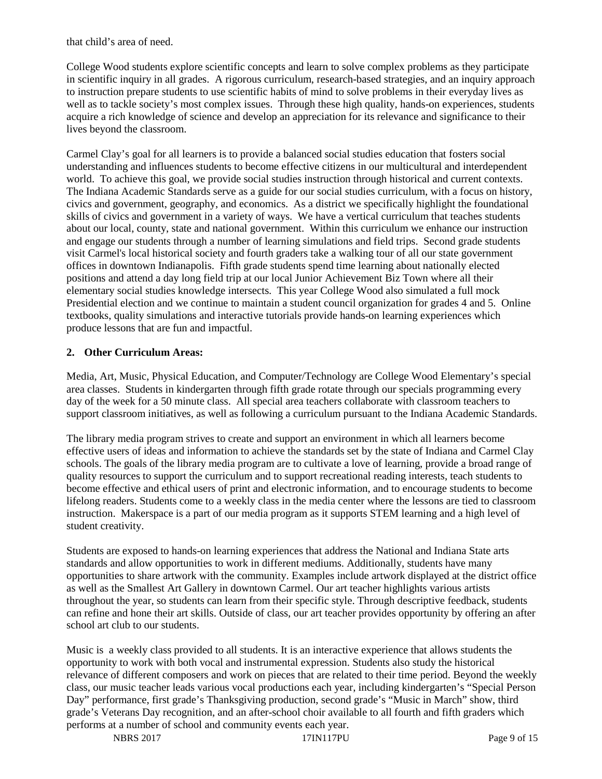that child's area of need.

College Wood students explore scientific concepts and learn to solve complex problems as they participate in scientific inquiry in all grades. A rigorous curriculum, research-based strategies, and an inquiry approach to instruction prepare students to use scientific habits of mind to solve problems in their everyday lives as well as to tackle society's most complex issues. Through these high quality, hands-on experiences, students acquire a rich knowledge of science and develop an appreciation for its relevance and significance to their lives beyond the classroom.

Carmel Clay's goal for all learners is to provide a balanced social studies education that fosters social understanding and influences students to become effective citizens in our multicultural and interdependent world. To achieve this goal, we provide social studies instruction through historical and current contexts. The Indiana Academic Standards serve as a guide for our social studies curriculum, with a focus on history, civics and government, geography, and economics. As a district we specifically highlight the foundational skills of civics and government in a variety of ways. We have a vertical curriculum that teaches students about our local, county, state and national government. Within this curriculum we enhance our instruction and engage our students through a number of learning simulations and field trips. Second grade students visit Carmel's local historical society and fourth graders take a walking tour of all our state government offices in downtown Indianapolis. Fifth grade students spend time learning about nationally elected positions and attend a day long field trip at our local Junior Achievement Biz Town where all their elementary social studies knowledge intersects. This year College Wood also simulated a full mock Presidential election and we continue to maintain a student council organization for grades 4 and 5. Online textbooks, quality simulations and interactive tutorials provide hands-on learning experiences which produce lessons that are fun and impactful.

# **2. Other Curriculum Areas:**

Media, Art, Music, Physical Education, and Computer/Technology are College Wood Elementary's special area classes. Students in kindergarten through fifth grade rotate through our specials programming every day of the week for a 50 minute class. All special area teachers collaborate with classroom teachers to support classroom initiatives, as well as following a curriculum pursuant to the Indiana Academic Standards.

The library media program strives to create and support an environment in which all learners become effective users of ideas and information to achieve the standards set by the state of Indiana and Carmel Clay schools. The goals of the library media program are to cultivate a love of learning, provide a broad range of quality resources to support the curriculum and to support recreational reading interests, teach students to become effective and ethical users of print and electronic information, and to encourage students to become lifelong readers. Students come to a weekly class in the media center where the lessons are tied to classroom instruction. Makerspace is a part of our media program as it supports STEM learning and a high level of student creativity.

Students are exposed to hands-on learning experiences that address the National and Indiana State arts standards and allow opportunities to work in different mediums. Additionally, students have many opportunities to share artwork with the community. Examples include artwork displayed at the district office as well as the Smallest Art Gallery in downtown Carmel. Our art teacher highlights various artists throughout the year, so students can learn from their specific style. Through descriptive feedback, students can refine and hone their art skills. Outside of class, our art teacher provides opportunity by offering an after school art club to our students.

Music is a weekly class provided to all students. It is an interactive experience that allows students the opportunity to work with both vocal and instrumental expression. Students also study the historical relevance of different composers and work on pieces that are related to their time period. Beyond the weekly class, our music teacher leads various vocal productions each year, including kindergarten's "Special Person Day" performance, first grade's Thanksgiving production, second grade's "Music in March" show, third grade's Veterans Day recognition, and an after-school choir available to all fourth and fifth graders which performs at a number of school and community events each year.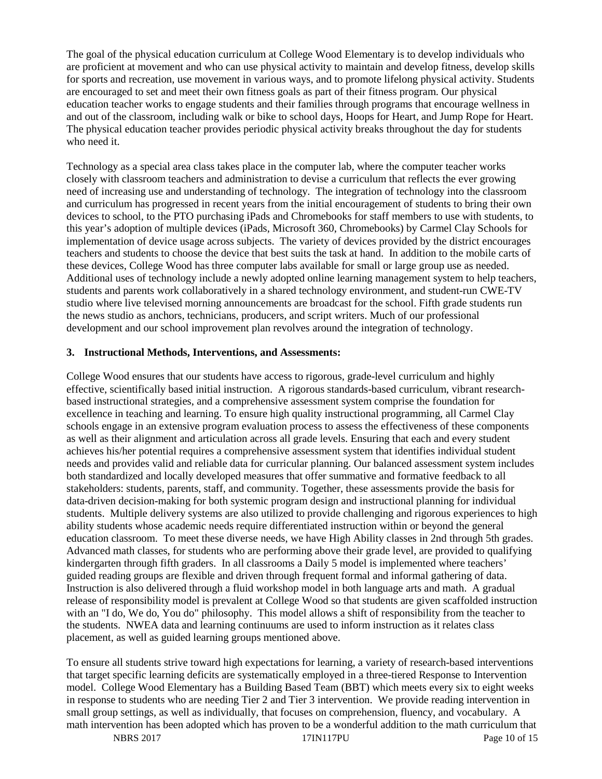The goal of the physical education curriculum at College Wood Elementary is to develop individuals who are proficient at movement and who can use physical activity to maintain and develop fitness, develop skills for sports and recreation, use movement in various ways, and to promote lifelong physical activity. Students are encouraged to set and meet their own fitness goals as part of their fitness program. Our physical education teacher works to engage students and their families through programs that encourage wellness in and out of the classroom, including walk or bike to school days, Hoops for Heart, and Jump Rope for Heart. The physical education teacher provides periodic physical activity breaks throughout the day for students who need it.

Technology as a special area class takes place in the computer lab, where the computer teacher works closely with classroom teachers and administration to devise a curriculum that reflects the ever growing need of increasing use and understanding of technology. The integration of technology into the classroom and curriculum has progressed in recent years from the initial encouragement of students to bring their own devices to school, to the PTO purchasing iPads and Chromebooks for staff members to use with students, to this year's adoption of multiple devices (iPads, Microsoft 360, Chromebooks) by Carmel Clay Schools for implementation of device usage across subjects. The variety of devices provided by the district encourages teachers and students to choose the device that best suits the task at hand. In addition to the mobile carts of these devices, College Wood has three computer labs available for small or large group use as needed. Additional uses of technology include a newly adopted online learning management system to help teachers, students and parents work collaboratively in a shared technology environment, and student-run CWE-TV studio where live televised morning announcements are broadcast for the school. Fifth grade students run the news studio as anchors, technicians, producers, and script writers. Much of our professional development and our school improvement plan revolves around the integration of technology.

#### **3. Instructional Methods, Interventions, and Assessments:**

College Wood ensures that our students have access to rigorous, grade-level curriculum and highly effective, scientifically based initial instruction. A rigorous standards-based curriculum, vibrant researchbased instructional strategies, and a comprehensive assessment system comprise the foundation for excellence in teaching and learning. To ensure high quality instructional programming, all Carmel Clay schools engage in an extensive program evaluation process to assess the effectiveness of these components as well as their alignment and articulation across all grade levels. Ensuring that each and every student achieves his/her potential requires a comprehensive assessment system that identifies individual student needs and provides valid and reliable data for curricular planning. Our balanced assessment system includes both standardized and locally developed measures that offer summative and formative feedback to all stakeholders: students, parents, staff, and community. Together, these assessments provide the basis for data-driven decision-making for both systemic program design and instructional planning for individual students. Multiple delivery systems are also utilized to provide challenging and rigorous experiences to high ability students whose academic needs require differentiated instruction within or beyond the general education classroom. To meet these diverse needs, we have High Ability classes in 2nd through 5th grades. Advanced math classes, for students who are performing above their grade level, are provided to qualifying kindergarten through fifth graders. In all classrooms a Daily 5 model is implemented where teachers' guided reading groups are flexible and driven through frequent formal and informal gathering of data. Instruction is also delivered through a fluid workshop model in both language arts and math. A gradual release of responsibility model is prevalent at College Wood so that students are given scaffolded instruction with an "I do, We do, You do" philosophy. This model allows a shift of responsibility from the teacher to the students. NWEA data and learning continuums are used to inform instruction as it relates class placement, as well as guided learning groups mentioned above.

To ensure all students strive toward high expectations for learning, a variety of research-based interventions that target specific learning deficits are systematically employed in a three-tiered Response to Intervention model. College Wood Elementary has a Building Based Team (BBT) which meets every six to eight weeks in response to students who are needing Tier 2 and Tier 3 intervention. We provide reading intervention in small group settings, as well as individually, that focuses on comprehension, fluency, and vocabulary. A math intervention has been adopted which has proven to be a wonderful addition to the math curriculum that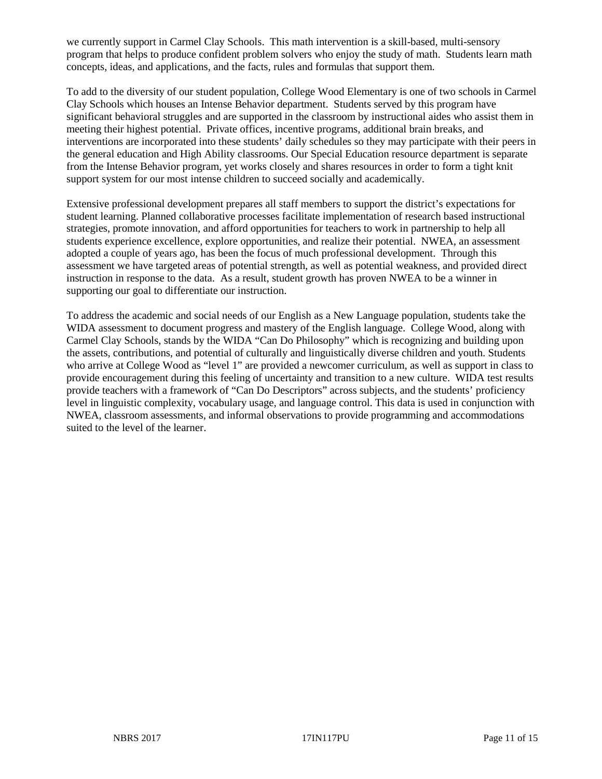we currently support in Carmel Clay Schools. This math intervention is a skill-based, multi-sensory program that helps to produce confident problem solvers who enjoy the study of math. Students learn math concepts, ideas, and applications, and the facts, rules and formulas that support them.

To add to the diversity of our student population, College Wood Elementary is one of two schools in Carmel Clay Schools which houses an Intense Behavior department. Students served by this program have significant behavioral struggles and are supported in the classroom by instructional aides who assist them in meeting their highest potential. Private offices, incentive programs, additional brain breaks, and interventions are incorporated into these students' daily schedules so they may participate with their peers in the general education and High Ability classrooms. Our Special Education resource department is separate from the Intense Behavior program, yet works closely and shares resources in order to form a tight knit support system for our most intense children to succeed socially and academically.

Extensive professional development prepares all staff members to support the district's expectations for student learning. Planned collaborative processes facilitate implementation of research based instructional strategies, promote innovation, and afford opportunities for teachers to work in partnership to help all students experience excellence, explore opportunities, and realize their potential. NWEA, an assessment adopted a couple of years ago, has been the focus of much professional development. Through this assessment we have targeted areas of potential strength, as well as potential weakness, and provided direct instruction in response to the data. As a result, student growth has proven NWEA to be a winner in supporting our goal to differentiate our instruction.

To address the academic and social needs of our English as a New Language population, students take the WIDA assessment to document progress and mastery of the English language. College Wood, along with Carmel Clay Schools, stands by the WIDA "Can Do Philosophy" which is recognizing and building upon the assets, contributions, and potential of culturally and linguistically diverse children and youth. Students who arrive at College Wood as "level 1" are provided a newcomer curriculum, as well as support in class to provide encouragement during this feeling of uncertainty and transition to a new culture. WIDA test results provide teachers with a framework of "Can Do Descriptors" across subjects, and the students' proficiency level in linguistic complexity, vocabulary usage, and language control. This data is used in conjunction with NWEA, classroom assessments, and informal observations to provide programming and accommodations suited to the level of the learner.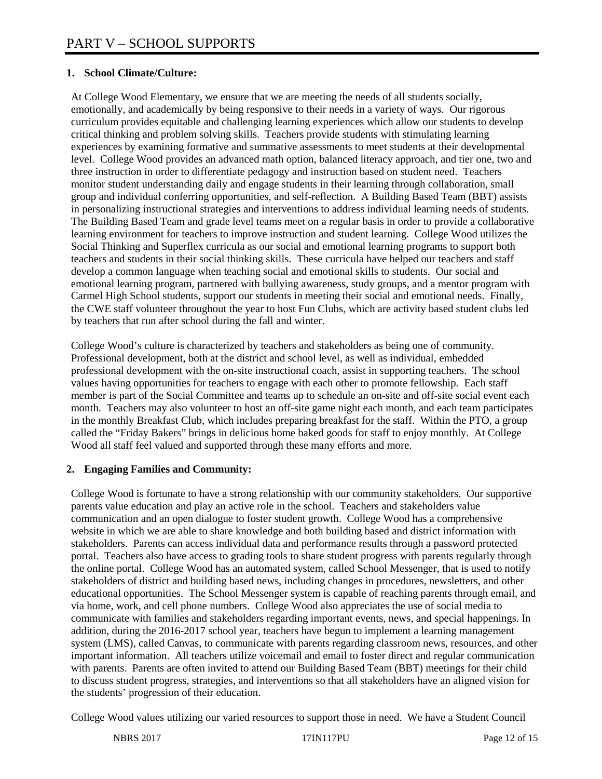## **1. School Climate/Culture:**

At College Wood Elementary, we ensure that we are meeting the needs of all students socially, emotionally, and academically by being responsive to their needs in a variety of ways. Our rigorous curriculum provides equitable and challenging learning experiences which allow our students to develop critical thinking and problem solving skills. Teachers provide students with stimulating learning experiences by examining formative and summative assessments to meet students at their developmental level. College Wood provides an advanced math option, balanced literacy approach, and tier one, two and three instruction in order to differentiate pedagogy and instruction based on student need. Teachers monitor student understanding daily and engage students in their learning through collaboration, small group and individual conferring opportunities, and self-reflection. A Building Based Team (BBT) assists in personalizing instructional strategies and interventions to address individual learning needs of students. The Building Based Team and grade level teams meet on a regular basis in order to provide a collaborative learning environment for teachers to improve instruction and student learning. College Wood utilizes the Social Thinking and Superflex curricula as our social and emotional learning programs to support both teachers and students in their social thinking skills. These curricula have helped our teachers and staff develop a common language when teaching social and emotional skills to students. Our social and emotional learning program, partnered with bullying awareness, study groups, and a mentor program with Carmel High School students, support our students in meeting their social and emotional needs. Finally, the CWE staff volunteer throughout the year to host Fun Clubs, which are activity based student clubs led by teachers that run after school during the fall and winter.

College Wood's culture is characterized by teachers and stakeholders as being one of community. Professional development, both at the district and school level, as well as individual, embedded professional development with the on-site instructional coach, assist in supporting teachers. The school values having opportunities for teachers to engage with each other to promote fellowship. Each staff member is part of the Social Committee and teams up to schedule an on-site and off-site social event each month. Teachers may also volunteer to host an off-site game night each month, and each team participates in the monthly Breakfast Club, which includes preparing breakfast for the staff. Within the PTO, a group called the "Friday Bakers" brings in delicious home baked goods for staff to enjoy monthly. At College Wood all staff feel valued and supported through these many efforts and more.

#### **2. Engaging Families and Community:**

College Wood is fortunate to have a strong relationship with our community stakeholders. Our supportive parents value education and play an active role in the school. Teachers and stakeholders value communication and an open dialogue to foster student growth. College Wood has a comprehensive website in which we are able to share knowledge and both building based and district information with stakeholders. Parents can access individual data and performance results through a password protected portal. Teachers also have access to grading tools to share student progress with parents regularly through the online portal. College Wood has an automated system, called School Messenger, that is used to notify stakeholders of district and building based news, including changes in procedures, newsletters, and other educational opportunities. The School Messenger system is capable of reaching parents through email, and via home, work, and cell phone numbers. College Wood also appreciates the use of social media to communicate with families and stakeholders regarding important events, news, and special happenings. In addition, during the 2016-2017 school year, teachers have begun to implement a learning management system (LMS), called Canvas, to communicate with parents regarding classroom news, resources, and other important information. All teachers utilize voicemail and email to foster direct and regular communication with parents. Parents are often invited to attend our Building Based Team (BBT) meetings for their child to discuss student progress, strategies, and interventions so that all stakeholders have an aligned vision for the students' progression of their education.

College Wood values utilizing our varied resources to support those in need. We have a Student Council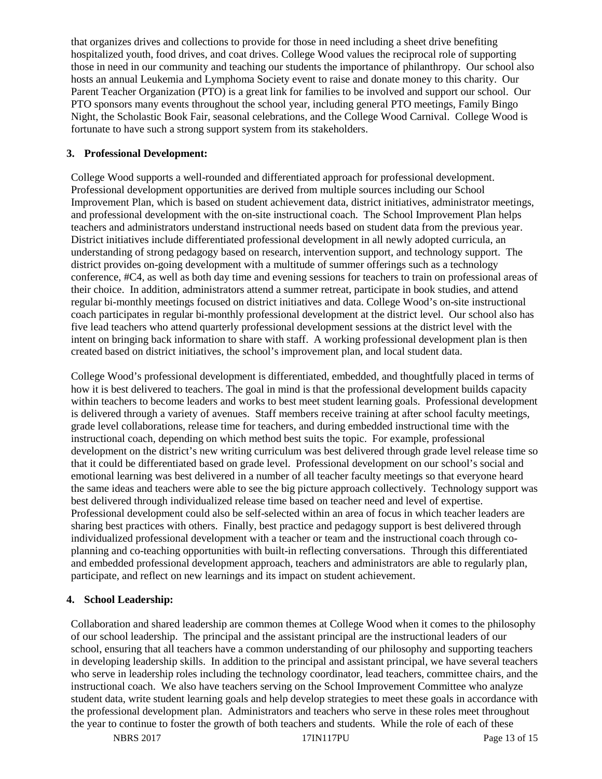that organizes drives and collections to provide for those in need including a sheet drive benefiting hospitalized youth, food drives, and coat drives. College Wood values the reciprocal role of supporting those in need in our community and teaching our students the importance of philanthropy. Our school also hosts an annual Leukemia and Lymphoma Society event to raise and donate money to this charity. Our Parent Teacher Organization (PTO) is a great link for families to be involved and support our school. Our PTO sponsors many events throughout the school year, including general PTO meetings, Family Bingo Night, the Scholastic Book Fair, seasonal celebrations, and the College Wood Carnival. College Wood is fortunate to have such a strong support system from its stakeholders.

## **3. Professional Development:**

College Wood supports a well-rounded and differentiated approach for professional development. Professional development opportunities are derived from multiple sources including our School Improvement Plan, which is based on student achievement data, district initiatives, administrator meetings, and professional development with the on-site instructional coach. The School Improvement Plan helps teachers and administrators understand instructional needs based on student data from the previous year. District initiatives include differentiated professional development in all newly adopted curricula, an understanding of strong pedagogy based on research, intervention support, and technology support. The district provides on-going development with a multitude of summer offerings such as a technology conference, #C4, as well as both day time and evening sessions for teachers to train on professional areas of their choice. In addition, administrators attend a summer retreat, participate in book studies, and attend regular bi-monthly meetings focused on district initiatives and data. College Wood's on-site instructional coach participates in regular bi-monthly professional development at the district level. Our school also has five lead teachers who attend quarterly professional development sessions at the district level with the intent on bringing back information to share with staff. A working professional development plan is then created based on district initiatives, the school's improvement plan, and local student data.

College Wood's professional development is differentiated, embedded, and thoughtfully placed in terms of how it is best delivered to teachers. The goal in mind is that the professional development builds capacity within teachers to become leaders and works to best meet student learning goals. Professional development is delivered through a variety of avenues. Staff members receive training at after school faculty meetings, grade level collaborations, release time for teachers, and during embedded instructional time with the instructional coach, depending on which method best suits the topic. For example, professional development on the district's new writing curriculum was best delivered through grade level release time so that it could be differentiated based on grade level. Professional development on our school's social and emotional learning was best delivered in a number of all teacher faculty meetings so that everyone heard the same ideas and teachers were able to see the big picture approach collectively. Technology support was best delivered through individualized release time based on teacher need and level of expertise. Professional development could also be self-selected within an area of focus in which teacher leaders are sharing best practices with others. Finally, best practice and pedagogy support is best delivered through individualized professional development with a teacher or team and the instructional coach through coplanning and co-teaching opportunities with built-in reflecting conversations. Through this differentiated and embedded professional development approach, teachers and administrators are able to regularly plan, participate, and reflect on new learnings and its impact on student achievement.

# **4. School Leadership:**

Collaboration and shared leadership are common themes at College Wood when it comes to the philosophy of our school leadership. The principal and the assistant principal are the instructional leaders of our school, ensuring that all teachers have a common understanding of our philosophy and supporting teachers in developing leadership skills. In addition to the principal and assistant principal, we have several teachers who serve in leadership roles including the technology coordinator, lead teachers, committee chairs, and the instructional coach. We also have teachers serving on the School Improvement Committee who analyze student data, write student learning goals and help develop strategies to meet these goals in accordance with the professional development plan. Administrators and teachers who serve in these roles meet throughout the year to continue to foster the growth of both teachers and students. While the role of each of these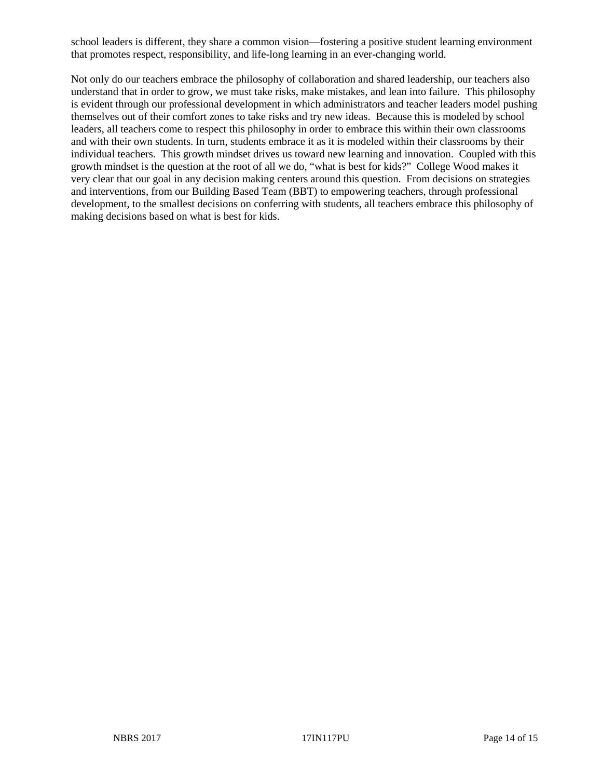school leaders is different, they share a common vision—fostering a positive student learning environment that promotes respect, responsibility, and life-long learning in an ever-changing world.

Not only do our teachers embrace the philosophy of collaboration and shared leadership, our teachers also understand that in order to grow, we must take risks, make mistakes, and lean into failure. This philosophy is evident through our professional development in which administrators and teacher leaders model pushing themselves out of their comfort zones to take risks and try new ideas. Because this is modeled by school leaders, all teachers come to respect this philosophy in order to embrace this within their own classrooms and with their own students. In turn, students embrace it as it is modeled within their classrooms by their individual teachers. This growth mindset drives us toward new learning and innovation. Coupled with this growth mindset is the question at the root of all we do, "what is best for kids?" College Wood makes it very clear that our goal in any decision making centers around this question. From decisions on strategies and interventions, from our Building Based Team (BBT) to empowering teachers, through professional development, to the smallest decisions on conferring with students, all teachers embrace this philosophy of making decisions based on what is best for kids.